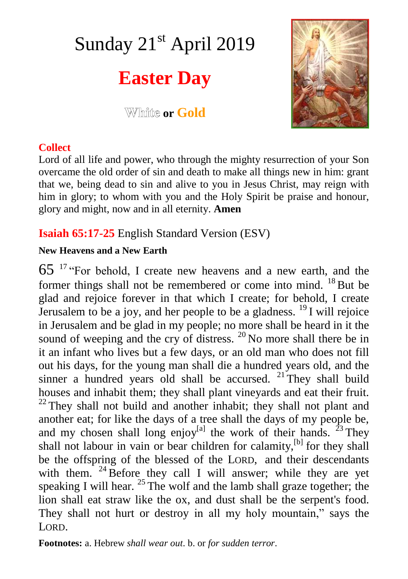# Sunday 21<sup>st</sup> April 2019

# **Easter Day**

**White or Gold** 



#### **Collect**

Lord of all life and power, who through the mighty resurrection of your Son overcame the old order of sin and death to make all things new in him: grant that we, being dead to sin and alive to you in Jesus Christ, may reign with him in glory; to whom with you and the Holy Spirit be praise and honour, glory and might, now and in all eternity. **Amen**

### **Isaiah 65:17-25** English Standard Version (ESV)

#### **New Heavens and a New Earth**

65 <sup>17</sup> "For behold, I create new heavens and a new earth, and the former things shall not be remembered or come into mind.  $^{18}$  But be glad and rejoice forever in that which I create; for behold, I create Jerusalem to be a joy, and her people to be a gladness.  $^{19}$  I will rejoice in Jerusalem and be glad in my people; no more shall be heard in it the sound of weeping and the cry of distress.  $20$  No more shall there be in it an infant who lives but a few days, or an old man who does not fill out his days, for the young man shall die a hundred years old, and the sinner a hundred years old shall be accursed.  $21$  They shall build houses and inhabit them; they shall plant vineyards and eat their fruit.  $22$  They shall not build and another inhabit; they shall not plant and another eat; for like the days of a tree shall the days of my people be, and my chosen shall long enjoy<sup>[a]</sup> the work of their hands. <sup>23</sup> They shall not labour in vain or bear children for calamity,<sup>[b]</sup> for they shall be the offspring of the blessed of the LORD, and their descendants with them.  $24\overline{B}$  Before they call I will answer; while they are yet speaking I will hear.  $25$  The wolf and the lamb shall graze together; the lion shall eat straw like the ox, and dust shall be the serpent's food. They shall not hurt or destroy in all my holy mountain," says the LORD.

**Footnotes:** a. Hebrew *shall wear out*. b. or *for sudden terror*.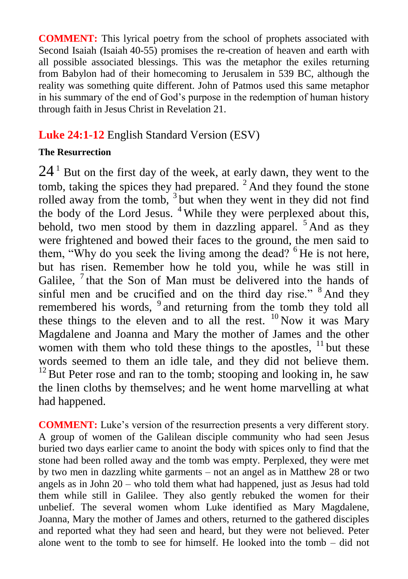**COMMENT:** This lyrical poetry from the school of prophets associated with Second Isaiah (Isaiah 40-55) promises the re-creation of heaven and earth with all possible associated blessings. This was the metaphor the exiles returning from Babylon had of their homecoming to Jerusalem in 539 BC, although the reality was something quite different. John of Patmos used this same metaphor in his summary of the end of God's purpose in the redemption of human history through faith in Jesus Christ in Revelation 21.

## **Luke 24:1-12** English Standard Version (ESV)

#### **The Resurrection**

 $24<sup>1</sup>$  But on the first day of the week, at early dawn, they went to the tomb, taking the spices they had prepared.  $2$  And they found the stone rolled away from the tomb,  $3$  but when they went in they did not find the body of the Lord Jesus. <sup>4</sup> While they were perplexed about this, behold, two men stood by them in dazzling apparel.  $5$  And as they were frightened and bowed their faces to the ground, the men said to them, "Why do you seek the living among the dead? <sup>6</sup> He is not here, but has risen. Remember how he told you, while he was still in Galilee,  $7$  that the Son of Man must be delivered into the hands of sinful men and be crucified and on the third day rise."  $8$  And they remembered his words, <sup>9</sup> and returning from the tomb they told all these things to the eleven and to all the rest.  $^{10}$  Now it was Mary Magdalene and Joanna and Mary the mother of James and the other women with them who told these things to the apostles,  $11$  but these words seemed to them an idle tale, and they did not believe them.  $12$  But Peter rose and ran to the tomb; stooping and looking in, he saw the linen cloths by themselves; and he went home marvelling at what had happened.

**COMMENT:** Luke's version of the resurrection presents a very different story. A group of women of the Galilean disciple community who had seen Jesus buried two days earlier came to anoint the body with spices only to find that the stone had been rolled away and the tomb was empty. Perplexed, they were met by two men in dazzling white garments – not an angel as in Matthew 28 or two angels as in John 20 – who told them what had happened, just as Jesus had told them while still in Galilee. They also gently rebuked the women for their unbelief. The several women whom Luke identified as Mary Magdalene, Joanna, Mary the mother of James and others, returned to the gathered disciples and reported what they had seen and heard, but they were not believed. Peter alone went to the tomb to see for himself. He looked into the tomb – did not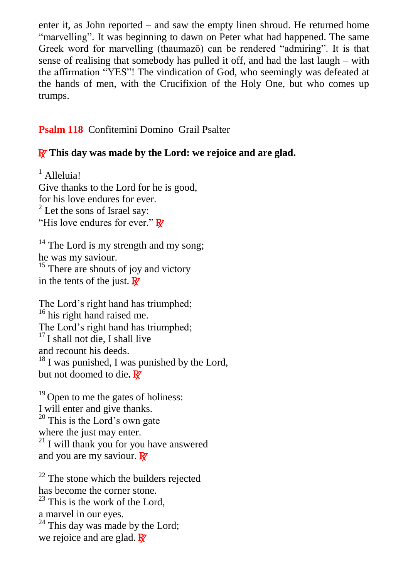enter it, as John reported – and saw the empty linen shroud. He returned home "marvelling". It was beginning to dawn on Peter what had happened. The same Greek word for marvelling (thaumazō) can be rendered "admiring". It is that sense of realising that somebody has pulled it off, and had the last laugh – with the affirmation "YES"! The vindication of God, who seemingly was defeated at the hands of men, with the Crucifixion of the Holy One, but who comes up trumps.

**Psalm 118** Confitemini Domino Grail Psalter

#### R **This day was made by the Lord: we rejoice and are glad.**

<sup>1</sup> Alleluia! Give thanks to the Lord for he is good, for his love endures for ever.  $2$  Let the sons of Israel say: "His love endures for ever."  $\mathbb{R}^7$ 

 $14$  The Lord is my strength and my song: he was my saviour.  $15$  There are shouts of joy and victory in the tents of the just.  $\mathbf{R}^{\prime}$ 

The Lord's right hand has triumphed; <sup>16</sup> his right hand raised me. The Lord's right hand has triumphed;  $17$  I shall not die. I shall live and recount his deeds.  $18$  I was punished, I was punished by the Lord, but not doomed to die**.** R

 $19$  Open to me the gates of holiness: I will enter and give thanks.  $^{20}$  This is the Lord's own gate where the just may enter.  $21$  I will thank you for you have answered and you are my saviour.  $\mathbf{R}$ 

 $22$  The stone which the builders rejected has become the corner stone.  $^{23}$  This is the work of the Lord, a marvel in our eyes.  $24$  This day was made by the Lord; we rejoice and are glad.  $\overline{R}$